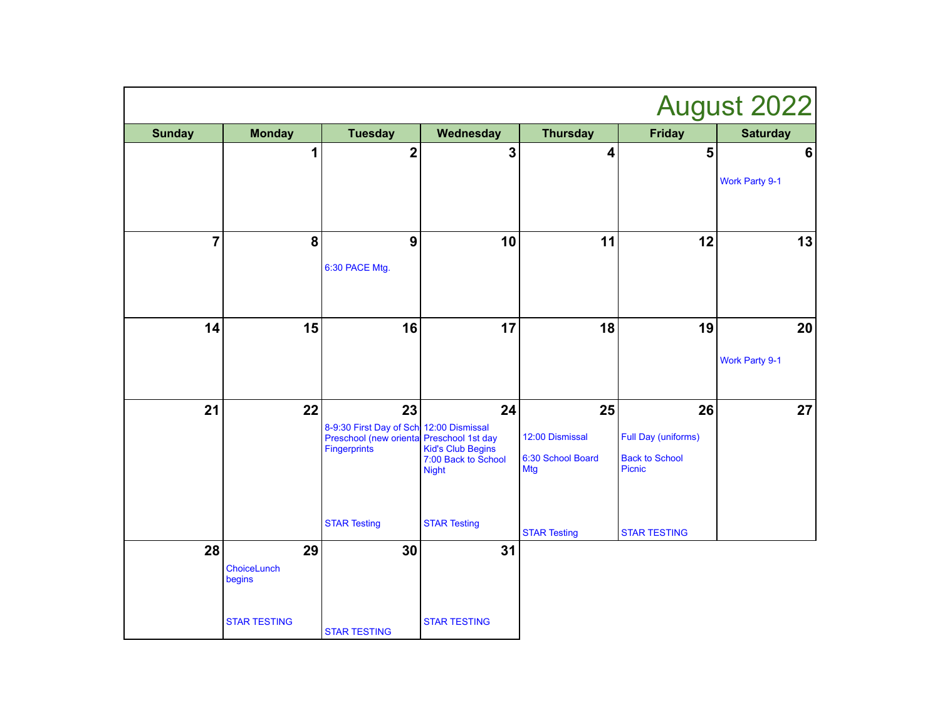|                | August 2022                                  |                                                                                                            |                                                                |                                                          |                                                              |                             |  |  |
|----------------|----------------------------------------------|------------------------------------------------------------------------------------------------------------|----------------------------------------------------------------|----------------------------------------------------------|--------------------------------------------------------------|-----------------------------|--|--|
| <b>Sunday</b>  | <b>Monday</b>                                | <b>Tuesday</b>                                                                                             | Wednesday                                                      | <b>Thursday</b>                                          | <b>Friday</b>                                                | <b>Saturday</b>             |  |  |
|                | 1                                            | $\mathbf 2$                                                                                                | $\mathbf{3}$                                                   | 4                                                        | 5                                                            | $6\phantom{1}6$             |  |  |
|                |                                              |                                                                                                            |                                                                |                                                          |                                                              | <b>Work Party 9-1</b>       |  |  |
| $\overline{7}$ | 8                                            | $\boldsymbol{9}$<br>6:30 PACE Mtg.                                                                         | 10                                                             | 11                                                       | 12                                                           | 13                          |  |  |
| 14             | 15                                           | 16                                                                                                         | 17                                                             | 18                                                       | 19                                                           | 20<br><b>Work Party 9-1</b> |  |  |
| 21             | 22                                           | 23<br>8-9:30 First Day of Sch 12:00 Dismissal<br>Preschool (new oriental Preschool 1st day<br>Fingerprints | 24<br>Kid's Club Begins<br>7:00 Back to School<br><b>Night</b> | 25<br>12:00 Dismissal<br>6:30 School Board<br><b>Mtg</b> | 26<br>Full Day (uniforms)<br><b>Back to School</b><br>Picnic | 27                          |  |  |
| 28             | 29                                           | <b>STAR Testing</b><br>30                                                                                  | <b>STAR Testing</b><br>31                                      | <b>STAR Testing</b>                                      | <b>STAR TESTING</b>                                          |                             |  |  |
|                | ChoiceLunch<br>begins<br><b>STAR TESTING</b> | <b>STAR TESTING</b>                                                                                        | <b>STAR TESTING</b>                                            |                                                          |                                                              |                             |  |  |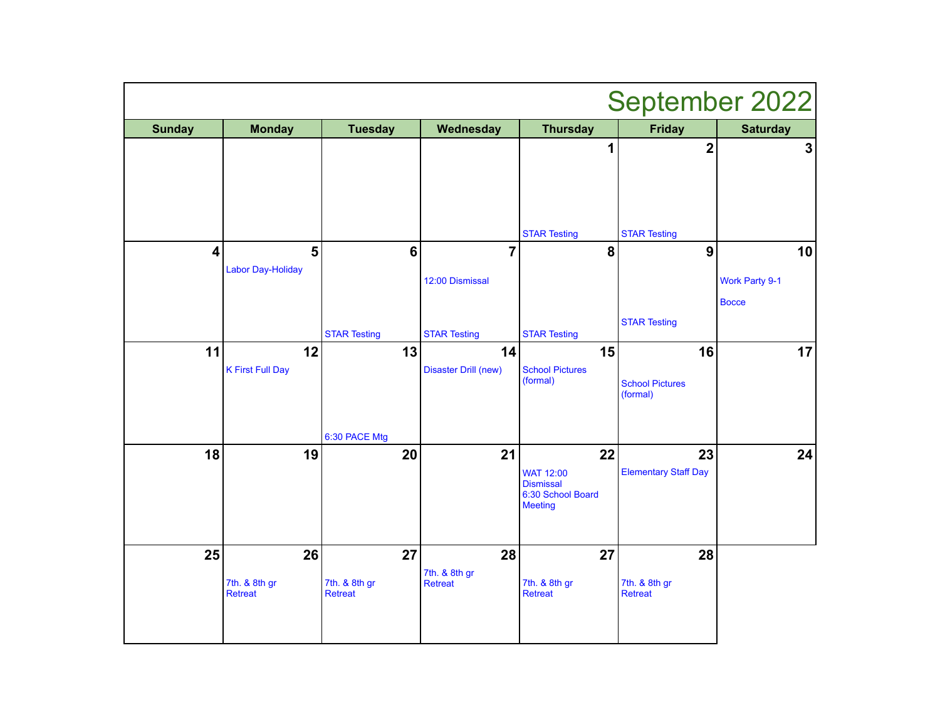| September 2022          |                                 |                                 |                                   |                                            |                                    |                                       |  |
|-------------------------|---------------------------------|---------------------------------|-----------------------------------|--------------------------------------------|------------------------------------|---------------------------------------|--|
| <b>Sunday</b>           | <b>Monday</b>                   | <b>Tuesday</b>                  | Wednesday                         | <b>Thursday</b>                            | <b>Friday</b>                      | <b>Saturday</b>                       |  |
|                         |                                 |                                 |                                   | 1                                          | $\overline{\mathbf{2}}$            | $\overline{\mathbf{3}}$               |  |
|                         |                                 |                                 |                                   | <b>STAR Testing</b>                        | <b>STAR Testing</b>                |                                       |  |
| $\overline{\mathbf{4}}$ | 5<br><b>Labor Day-Holiday</b>   | $\bf 6$                         | $\overline{7}$                    | 8                                          | $\boldsymbol{9}$                   | 10                                    |  |
|                         |                                 |                                 | 12:00 Dismissal                   |                                            |                                    | <b>Work Party 9-1</b><br><b>Bocce</b> |  |
|                         |                                 | <b>STAR Testing</b>             | <b>STAR Testing</b>               | <b>STAR Testing</b>                        | <b>STAR Testing</b>                |                                       |  |
| 11                      | 12<br><b>K First Full Day</b>   | 13                              | 14<br><b>Disaster Drill (new)</b> | 15<br><b>School Pictures</b>               | 16                                 | 17                                    |  |
|                         |                                 |                                 |                                   | (formal)                                   | <b>School Pictures</b><br>(formal) |                                       |  |
|                         |                                 | 6:30 PACE Mtg                   |                                   |                                            |                                    |                                       |  |
| 18                      | 19                              | 20                              | 21                                | 22<br><b>WAT 12:00</b><br><b>Dismissal</b> | 23<br><b>Elementary Staff Day</b>  | 24                                    |  |
|                         |                                 |                                 |                                   | 6:30 School Board<br><b>Meeting</b>        |                                    |                                       |  |
| 25                      | 26                              | 27                              | 28                                | 27                                         | 28                                 |                                       |  |
|                         | 7th. & 8th gr<br><b>Retreat</b> | 7th. & 8th gr<br><b>Retreat</b> | 7th. & 8th gr<br><b>Retreat</b>   | 7th. & 8th gr<br><b>Retreat</b>            | 7th. & 8th gr<br><b>Retreat</b>    |                                       |  |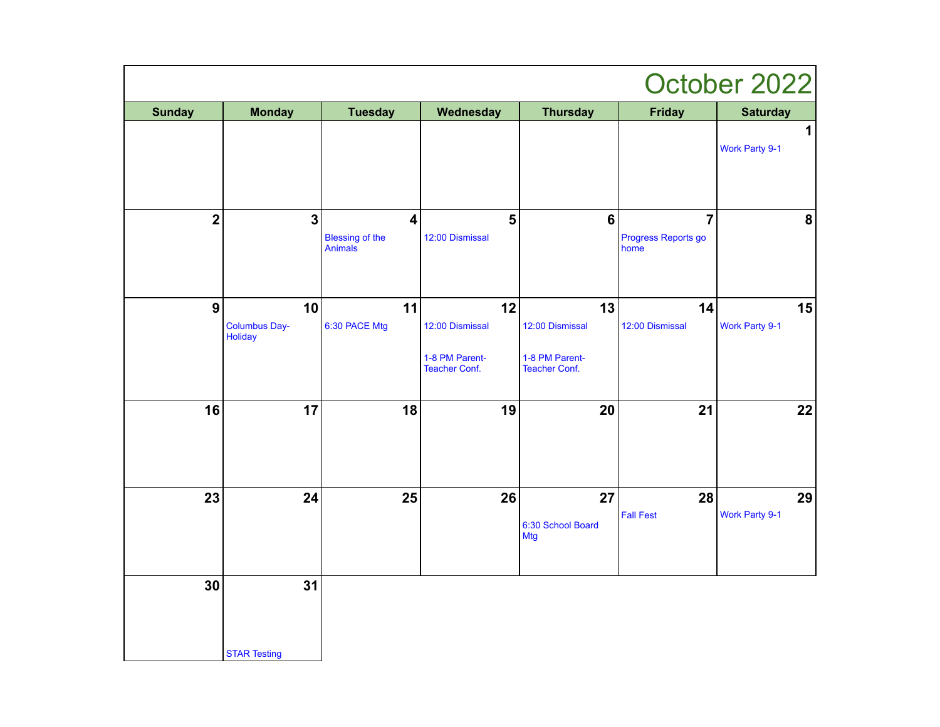|                         |                                       |                                                              |                                                                 |                                                                 |                                               | October 2022                   |
|-------------------------|---------------------------------------|--------------------------------------------------------------|-----------------------------------------------------------------|-----------------------------------------------------------------|-----------------------------------------------|--------------------------------|
| <b>Sunday</b>           | <b>Monday</b>                         | <b>Tuesday</b>                                               | Wednesday                                                       | <b>Thursday</b>                                                 | <b>Friday</b>                                 | <b>Saturday</b>                |
|                         |                                       |                                                              |                                                                 |                                                                 |                                               | $\mathbf{1}$<br>Work Party 9-1 |
| $\overline{\mathbf{2}}$ | $\mathbf{3}$                          | $\overline{\mathbf{4}}$<br><b>Blessing of the</b><br>Animals | $\overline{\mathbf{5}}$<br>12:00 Dismissal                      | $6\phantom{1}6$                                                 | $\overline{7}$<br>Progress Reports go<br>home | ${\bf 8}$                      |
| $\boldsymbol{9}$        | 10<br><b>Columbus Day-</b><br>Holiday | 11<br>6:30 PACE Mtg                                          | 12<br>12:00 Dismissal<br>1-8 PM Parent-<br><b>Teacher Conf.</b> | 13<br>12:00 Dismissal<br>1-8 PM Parent-<br><b>Teacher Conf.</b> | 14<br>12:00 Dismissal                         | 15<br>Work Party 9-1           |
| 16                      | 17                                    | 18                                                           | 19                                                              | 20                                                              | 21                                            | 22                             |
| 23                      | 24                                    | 25                                                           | 26                                                              | 27<br>6:30 School Board<br><b>Mtg</b>                           | 28<br><b>Fall Fest</b>                        | 29<br>Work Party 9-1           |
| 30                      | 31<br><b>STAR Testing</b>             |                                                              |                                                                 |                                                                 |                                               |                                |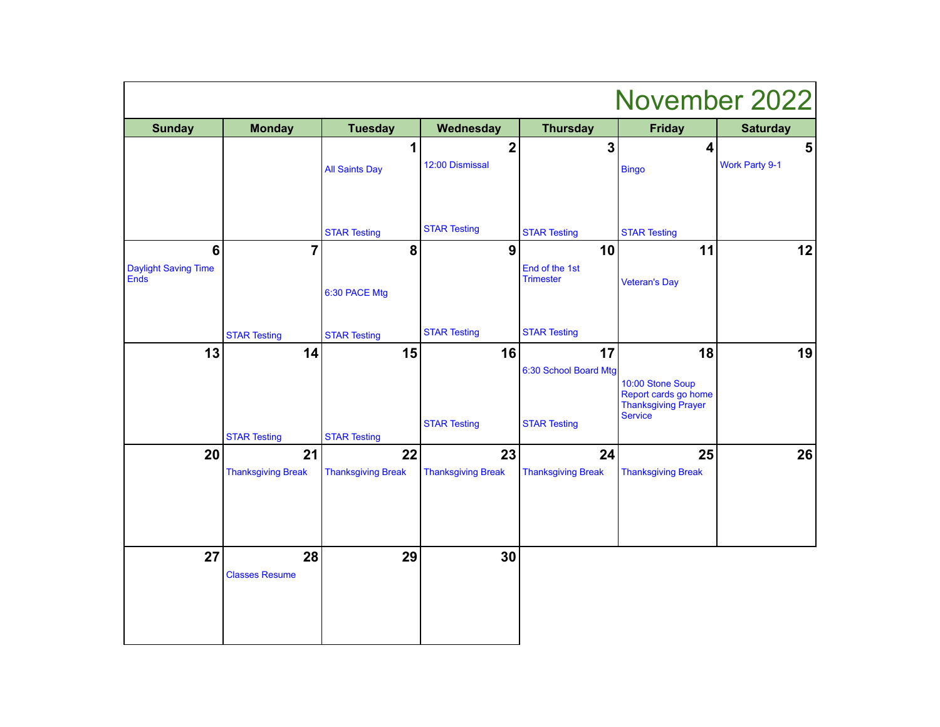| November 2022                                         |                                                        |                                                        |                                   |                                                    |                                                                                                |                            |
|-------------------------------------------------------|--------------------------------------------------------|--------------------------------------------------------|-----------------------------------|----------------------------------------------------|------------------------------------------------------------------------------------------------|----------------------------|
| <b>Sunday</b>                                         | <b>Monday</b>                                          | <b>Tuesday</b>                                         | Wednesday                         | <b>Thursday</b>                                    | <b>Friday</b>                                                                                  | <b>Saturday</b>            |
|                                                       |                                                        | 1<br><b>All Saints Day</b>                             | $\overline{2}$<br>12:00 Dismissal | 3                                                  | 4<br><b>Bingo</b>                                                                              | 5<br><b>Work Party 9-1</b> |
|                                                       |                                                        | <b>STAR Testing</b>                                    | <b>STAR Testing</b>               | <b>STAR Testing</b>                                | <b>STAR Testing</b>                                                                            |                            |
| $6\phantom{1}$<br><b>Daylight Saving Time</b><br>Ends | $\overline{7}$                                         | 8<br>6:30 PACE Mtg                                     | $\overline{9}$                    | 10<br>End of the 1st<br><b>Trimester</b>           | 11<br><b>Veteran's Day</b>                                                                     | 12                         |
|                                                       | <b>STAR Testing</b>                                    | <b>STAR Testing</b>                                    | <b>STAR Testing</b>               | <b>STAR Testing</b>                                |                                                                                                |                            |
| 13                                                    | 14                                                     | 15                                                     | 16<br><b>STAR Testing</b>         | 17<br>6:30 School Board Mtg<br><b>STAR Testing</b> | 18<br>10:00 Stone Soup<br>Report cards go home<br><b>Thanksgiving Prayer</b><br><b>Service</b> | 19                         |
| 20                                                    | <b>STAR Testing</b><br>21<br><b>Thanksgiving Break</b> | <b>STAR Testing</b><br>22<br><b>Thanksgiving Break</b> | 23<br><b>Thanksgiving Break</b>   | 24<br><b>Thanksgiving Break</b>                    | 25<br><b>Thanksgiving Break</b>                                                                | 26                         |
| 27                                                    | 28<br><b>Classes Resume</b>                            | 29                                                     | 30                                |                                                    |                                                                                                |                            |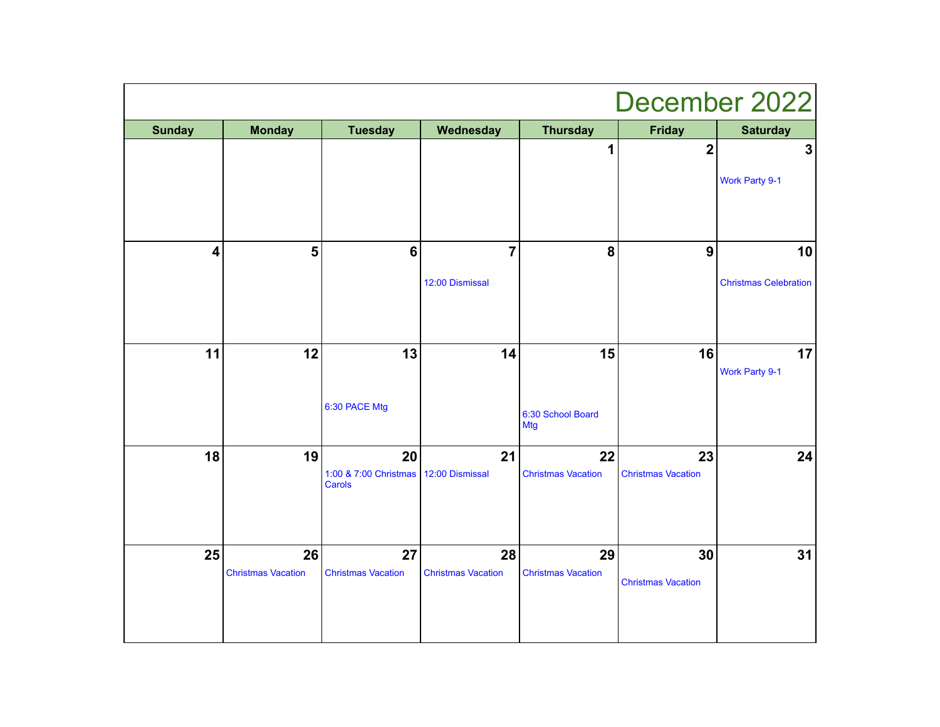| December 2022           |                           |                                 |                           |                                 |                           |                              |  |
|-------------------------|---------------------------|---------------------------------|---------------------------|---------------------------------|---------------------------|------------------------------|--|
| <b>Sunday</b>           | <b>Monday</b>             | <b>Tuesday</b>                  | Wednesday                 | <b>Thursday</b>                 | <b>Friday</b>             | <b>Saturday</b>              |  |
|                         |                           |                                 |                           | $\overline{\mathbf{1}}$         | $\overline{\mathbf{2}}$   | $\overline{\mathbf{3}}$      |  |
|                         |                           |                                 |                           |                                 |                           | <b>Work Party 9-1</b>        |  |
| $\overline{\mathbf{4}}$ | 5                         | $6\phantom{1}$                  | $\overline{7}$            | 8                               | $\boldsymbol{9}$          | 10                           |  |
|                         |                           |                                 | 12:00 Dismissal           |                                 |                           | <b>Christmas Celebration</b> |  |
| 11                      | 12                        | 13                              | 14                        | 15                              | 16                        | 17                           |  |
|                         |                           | 6:30 PACE Mtg                   |                           | 6:30 School Board<br><b>Mtg</b> |                           | <b>Work Party 9-1</b>        |  |
| 18                      | 19                        | 20                              | 21                        | 22                              | 23                        | 24                           |  |
|                         |                           | 1:00 & 7:00 Christmas<br>Carols | 12:00 Dismissal           | <b>Christmas Vacation</b>       | <b>Christmas Vacation</b> |                              |  |
| 25                      | 26                        | 27                              | 28                        | 29                              | 30                        | 31                           |  |
|                         | <b>Christmas Vacation</b> | <b>Christmas Vacation</b>       | <b>Christmas Vacation</b> | <b>Christmas Vacation</b>       | <b>Christmas Vacation</b> |                              |  |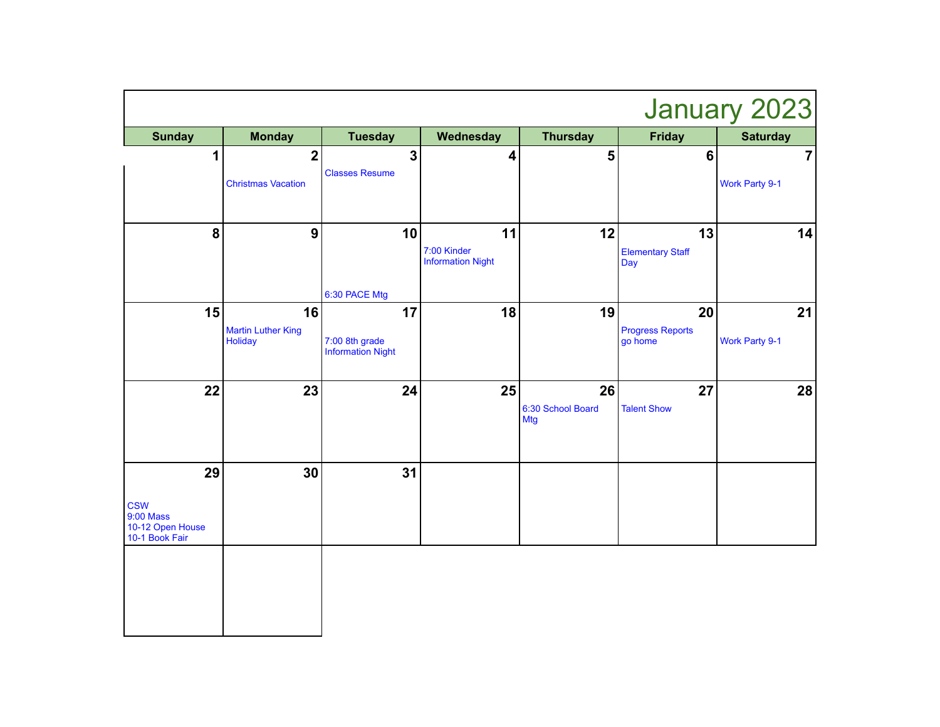| January 2023                                                               |                                            |                                                  |                                               |                                       |                                          |                                         |  |
|----------------------------------------------------------------------------|--------------------------------------------|--------------------------------------------------|-----------------------------------------------|---------------------------------------|------------------------------------------|-----------------------------------------|--|
| <b>Sunday</b>                                                              | <b>Monday</b>                              | <b>Tuesday</b>                                   | Wednesday                                     | <b>Thursday</b>                       | <b>Friday</b>                            | <b>Saturday</b>                         |  |
| 1                                                                          | $\mathbf 2$<br><b>Christmas Vacation</b>   | $\overline{\mathbf{3}}$<br><b>Classes Resume</b> | 4                                             | 5                                     | $6\phantom{1}6$                          | $\overline{7}$<br><b>Work Party 9-1</b> |  |
| 8                                                                          | $\boldsymbol{9}$                           | 10<br>6:30 PACE Mtg                              | 11<br>7:00 Kinder<br><b>Information Night</b> | 12                                    | 13<br><b>Elementary Staff</b><br>Day     | 14                                      |  |
| 15                                                                         | 16<br><b>Martin Luther King</b><br>Holiday | 17<br>7:00 8th grade<br><b>Information Night</b> | 18                                            | 19                                    | 20<br><b>Progress Reports</b><br>go home | 21<br><b>Work Party 9-1</b>             |  |
| 22                                                                         | 23                                         | 24                                               | 25                                            | 26<br>6:30 School Board<br><b>Mtg</b> | 27<br><b>Talent Show</b>                 | 28                                      |  |
| 29<br><b>CSW</b><br><b>9:00 Mass</b><br>10-12 Open House<br>10-1 Book Fair | 30                                         | 31                                               |                                               |                                       |                                          |                                         |  |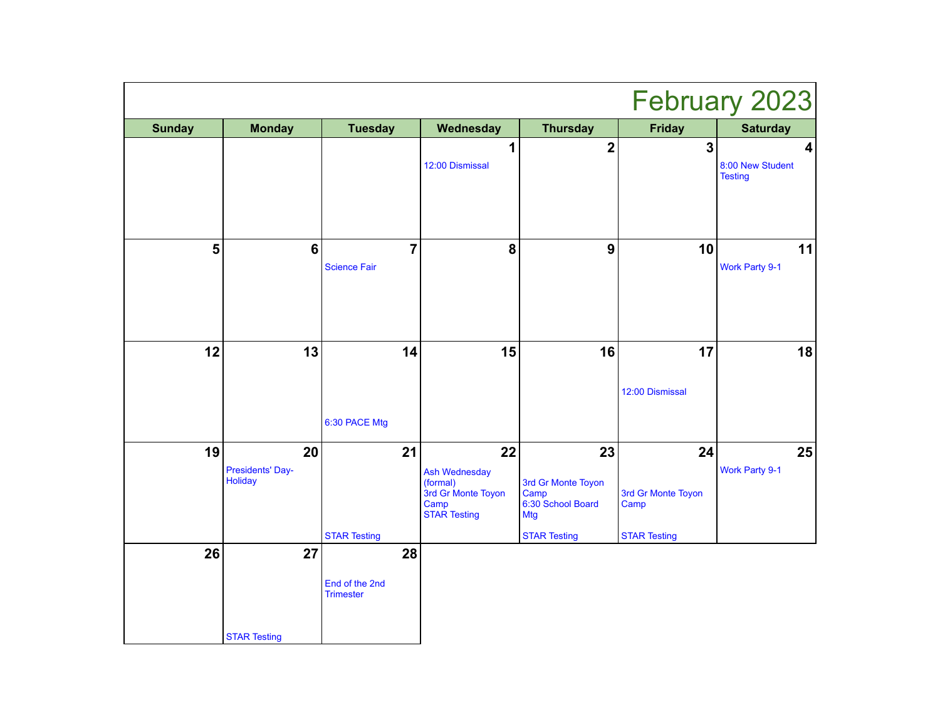|                | February 2023                            |                                          |                                                                                             |                                                                                            |                                                         |                                                               |  |
|----------------|------------------------------------------|------------------------------------------|---------------------------------------------------------------------------------------------|--------------------------------------------------------------------------------------------|---------------------------------------------------------|---------------------------------------------------------------|--|
| <b>Sunday</b>  | <b>Monday</b>                            | <b>Tuesday</b>                           | Wednesday                                                                                   | <b>Thursday</b>                                                                            | <b>Friday</b>                                           | <b>Saturday</b>                                               |  |
|                |                                          |                                          | 1<br>12:00 Dismissal                                                                        | $\overline{2}$                                                                             | $\overline{\mathbf{3}}$                                 | $\overline{\mathbf{4}}$<br>8:00 New Student<br><b>Testing</b> |  |
| $5\phantom{a}$ | $6\phantom{1}6$                          | 7<br><b>Science Fair</b>                 | 8                                                                                           | $\boldsymbol{9}$                                                                           | 10                                                      | 11<br><b>Work Party 9-1</b>                                   |  |
| 12             | 13                                       | 14<br>6:30 PACE Mtg                      | 15                                                                                          | 16                                                                                         | 17<br>12:00 Dismissal                                   | 18                                                            |  |
| 19             | 20<br>Presidents' Day-<br><b>Holiday</b> | 21<br><b>STAR Testing</b>                | 22<br><b>Ash Wednesday</b><br>(formal)<br>3rd Gr Monte Toyon<br>Camp<br><b>STAR Testing</b> | 23<br>3rd Gr Monte Toyon<br>Camp<br>6:30 School Board<br><b>Mtg</b><br><b>STAR Testing</b> | 24<br>3rd Gr Monte Toyon<br>Camp<br><b>STAR Testing</b> | 25<br><b>Work Party 9-1</b>                                   |  |
| 26             | 27<br><b>STAR Testing</b>                | 28<br>End of the 2nd<br><b>Trimester</b> |                                                                                             |                                                                                            |                                                         |                                                               |  |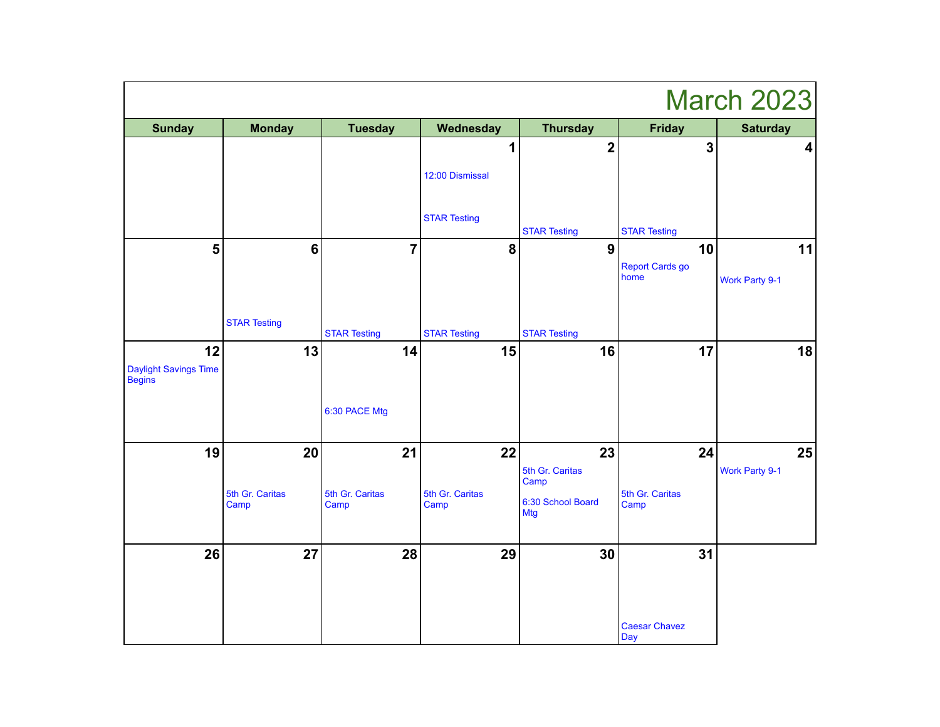| <b>March 2023</b>                                   |                         |                         |                         |                                 |                             |                         |
|-----------------------------------------------------|-------------------------|-------------------------|-------------------------|---------------------------------|-----------------------------|-------------------------|
| <b>Sunday</b>                                       | <b>Monday</b>           | <b>Tuesday</b>          | Wednesday               | <b>Thursday</b>                 | <b>Friday</b>               | <b>Saturday</b>         |
|                                                     |                         |                         | 1                       | $\overline{\mathbf{2}}$         | $\mathbf{3}$                | $\overline{\mathbf{4}}$ |
|                                                     |                         |                         | 12:00 Dismissal         |                                 |                             |                         |
|                                                     |                         |                         | <b>STAR Testing</b>     | <b>STAR Testing</b>             | <b>STAR Testing</b>         |                         |
| $5\phantom{a}$                                      | 6                       | $\overline{7}$          | 8                       | $\boldsymbol{9}$                | 10                          | 11                      |
|                                                     |                         |                         |                         |                                 | Report Cards go<br>home     | <b>Work Party 9-1</b>   |
|                                                     | <b>STAR Testing</b>     | <b>STAR Testing</b>     | <b>STAR Testing</b>     | <b>STAR Testing</b>             |                             |                         |
| 12<br><b>Daylight Savings Time</b><br><b>Begins</b> | 13                      | 14                      | 15                      | 16                              | 17                          | 18                      |
|                                                     |                         | 6:30 PACE Mtg           |                         |                                 |                             |                         |
| 19                                                  | 20                      | 21                      | 22                      | 23                              | 24                          | 25                      |
|                                                     |                         |                         |                         | 5th Gr. Caritas<br>Camp         |                             | <b>Work Party 9-1</b>   |
|                                                     | 5th Gr. Caritas<br>Camp | 5th Gr. Caritas<br>Camp | 5th Gr. Caritas<br>Camp | 6:30 School Board<br><b>Mtg</b> | 5th Gr. Caritas<br>Camp     |                         |
| 26                                                  | 27                      | 28                      | 29                      | 30                              | 31                          |                         |
|                                                     |                         |                         |                         |                                 | <b>Caesar Chavez</b><br>Day |                         |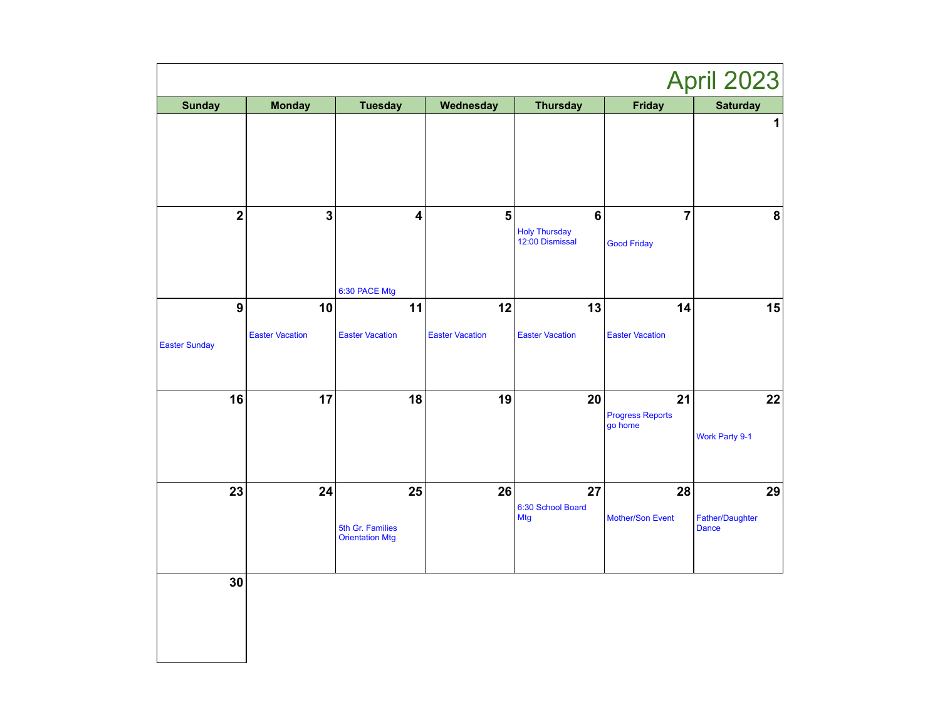|                                          |                              |                                                  |                              |                                             |                                      | April 2023                            |
|------------------------------------------|------------------------------|--------------------------------------------------|------------------------------|---------------------------------------------|--------------------------------------|---------------------------------------|
| <b>Sunday</b>                            | <b>Monday</b>                | <b>Tuesday</b>                                   | Wednesday                    | <b>Thursday</b>                             | <b>Friday</b>                        | <b>Saturday</b>                       |
|                                          |                              |                                                  |                              |                                             |                                      | 1                                     |
| $\mathbf{2}$                             | 3                            | 4<br>6:30 PACE Mtg                               | 5                            | $\bf 6$<br>Holy Thursday<br>12:00 Dismissal | $\overline{7}$<br><b>Good Friday</b> | 8                                     |
| $\boldsymbol{9}$<br><b>Easter Sunday</b> | 10<br><b>Easter Vacation</b> | 11<br><b>Easter Vacation</b>                     | 12<br><b>Easter Vacation</b> | 13<br><b>Easter Vacation</b>                | 14<br><b>Easter Vacation</b>         | 15                                    |
| 16                                       | 17                           | 18                                               | 19                           | 20                                          | 21<br>Progress Reports<br>go home    | 22<br>Work Party 9-1                  |
| 23                                       | 24                           | 25<br>5th Gr. Families<br><b>Orientation Mtg</b> | 26                           | 27<br>6:30 School Board<br><b>Mtg</b>       | 28<br>Mother/Son Event               | 29<br>Father/Daughter<br><b>Dance</b> |
| 30                                       |                              |                                                  |                              |                                             |                                      |                                       |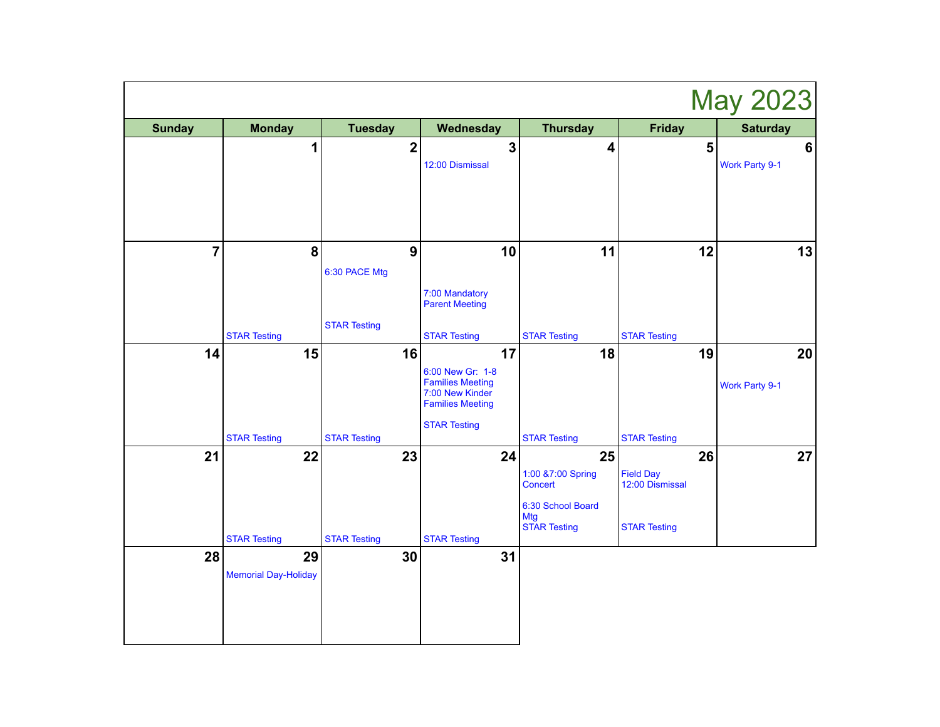| <b>May 2023</b> |                                   |                                           |                                                                                                                        |                                                                                              |                                                                  |                                  |
|-----------------|-----------------------------------|-------------------------------------------|------------------------------------------------------------------------------------------------------------------------|----------------------------------------------------------------------------------------------|------------------------------------------------------------------|----------------------------------|
| <b>Sunday</b>   | <b>Monday</b>                     | <b>Tuesday</b>                            | Wednesday                                                                                                              | <b>Thursday</b>                                                                              | <b>Friday</b>                                                    | <b>Saturday</b>                  |
|                 | 1                                 | $\overline{\mathbf{2}}$                   | $\overline{\mathbf{3}}$<br>12:00 Dismissal                                                                             | $\overline{\mathbf{4}}$                                                                      | 5                                                                | $6\phantom{1}$<br>Work Party 9-1 |
| $\overline{7}$  | 8                                 | 9<br>6:30 PACE Mtg<br><b>STAR Testing</b> | 10<br>7:00 Mandatory<br><b>Parent Meeting</b>                                                                          | 11                                                                                           | 12                                                               | 13                               |
| 14              | <b>STAR Testing</b><br>15         | 16                                        | <b>STAR Testing</b>                                                                                                    | <b>STAR Testing</b><br>18                                                                    | <b>STAR Testing</b><br>19                                        |                                  |
|                 | <b>STAR Testing</b>               | <b>STAR Testing</b>                       | 17<br>6:00 New Gr: 1-8<br><b>Families Meeting</b><br>7:00 New Kinder<br><b>Families Meeting</b><br><b>STAR Testing</b> | <b>STAR Testing</b>                                                                          | <b>STAR Testing</b>                                              | 20<br>Work Party 9-1             |
| 21              | 22<br><b>STAR Testing</b>         | 23<br><b>STAR Testing</b>                 | 24<br><b>STAR Testing</b>                                                                                              | 25<br>1:00 &7:00 Spring<br>Concert<br>6:30 School Board<br><b>Mtg</b><br><b>STAR Testing</b> | 26<br><b>Field Day</b><br>12:00 Dismissal<br><b>STAR Testing</b> | 27                               |
| 28              | 29<br><b>Memorial Day-Holiday</b> | 30                                        | 31                                                                                                                     |                                                                                              |                                                                  |                                  |